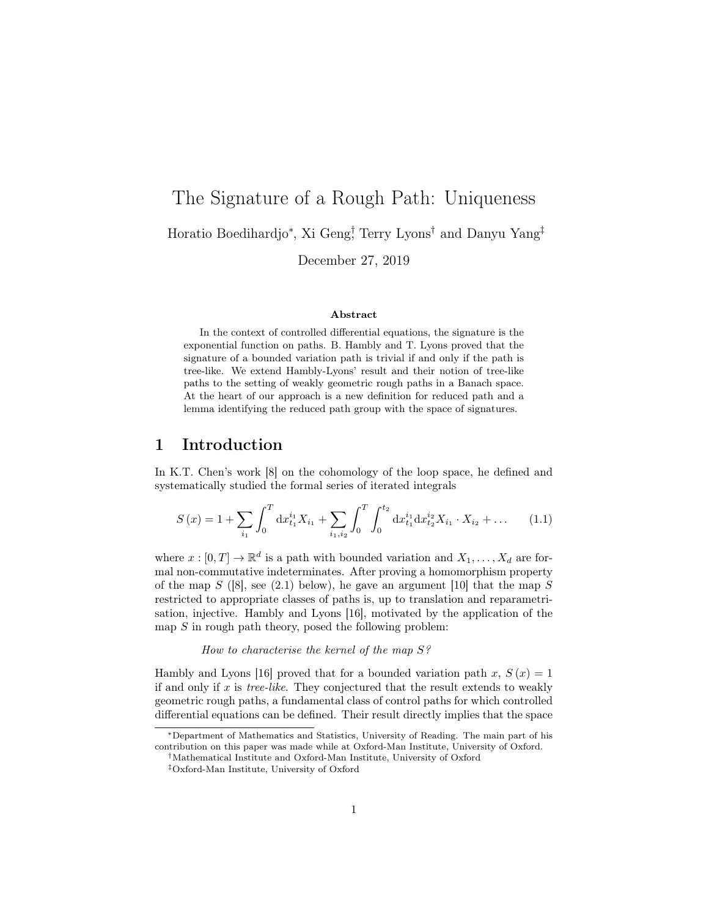# The Signature of a Rough Path: Uniqueness Horatio Boedihardjo<sup>∗</sup> , Xi Geng† , Terry Lyons† and Danyu Yang‡ December 27, 2019

#### Abstract

In the context of controlled differential equations, the signature is the exponential function on paths. B. Hambly and T. Lyons proved that the signature of a bounded variation path is trivial if and only if the path is tree-like. We extend Hambly-Lyons' result and their notion of tree-like paths to the setting of weakly geometric rough paths in a Banach space. At the heart of our approach is a new definition for reduced path and a lemma identifying the reduced path group with the space of signatures.

### 1 Introduction

In K.T. Chen's work [8] on the cohomology of the loop space, he defined and systematically studied the formal series of iterated integrals

$$
S(x) = 1 + \sum_{i_1} \int_0^T dx_{t_1}^{i_1} X_{i_1} + \sum_{i_1, i_2} \int_0^T \int_0^{t_2} dx_{t_1}^{i_1} dx_{t_2}^{i_2} X_{i_1} \cdot X_{i_2} + \dots \tag{1.1}
$$

where  $x : [0, T] \to \mathbb{R}^d$  is a path with bounded variation and  $X_1, \ldots, X_d$  are formal non-commutative indeterminates. After proving a homomorphism property of the map  $S$  ([8], see (2.1) below), he gave an argument [10] that the map  $S$ restricted to appropriate classes of paths is, up to translation and reparametrisation, injective. Hambly and Lyons [16], motivated by the application of the map  $S$  in rough path theory, posed the following problem:

### How to characterise the kernel of the map S?

Hambly and Lyons [16] proved that for a bounded variation path x,  $S(x) = 1$ if and only if  $x$  is *tree-like*. They conjectured that the result extends to weakly geometric rough paths, a fundamental class of control paths for which controlled differential equations can be defined. Their result directly implies that the space

<sup>∗</sup>Department of Mathematics and Statistics, University of Reading. The main part of his contribution on this paper was made while at Oxford-Man Institute, University of Oxford.

<sup>†</sup>Mathematical Institute and Oxford-Man Institute, University of Oxford

<sup>‡</sup>Oxford-Man Institute, University of Oxford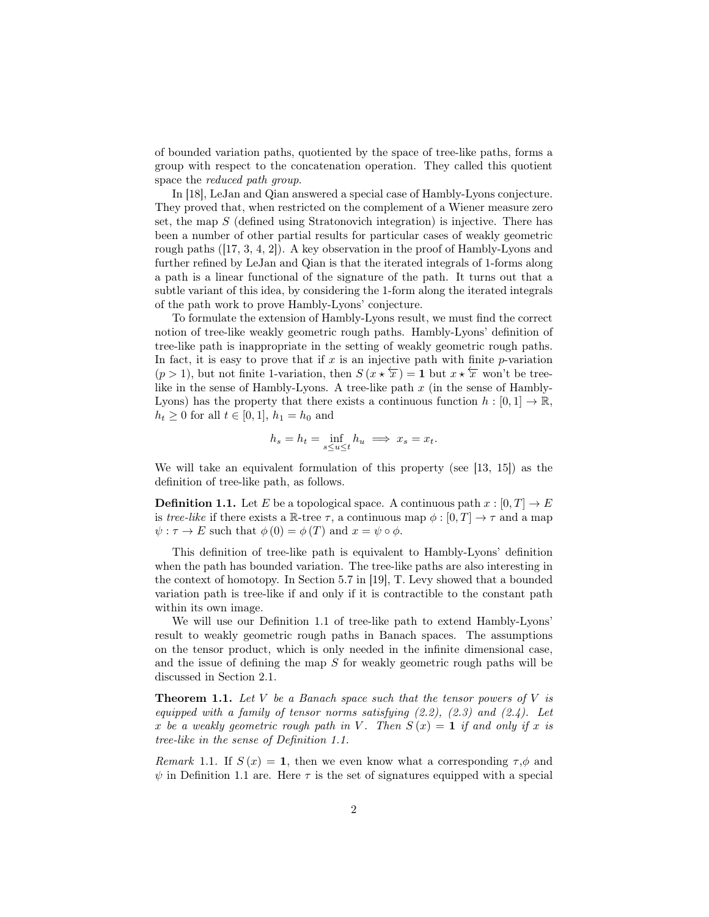of bounded variation paths, quotiented by the space of tree-like paths, forms a group with respect to the concatenation operation. They called this quotient space the reduced path group.

In [18], LeJan and Qian answered a special case of Hambly-Lyons conjecture. They proved that, when restricted on the complement of a Wiener measure zero set, the map  $S$  (defined using Stratonovich integration) is injective. There has been a number of other partial results for particular cases of weakly geometric rough paths ([17, 3, 4, 2]). A key observation in the proof of Hambly-Lyons and further refined by LeJan and Qian is that the iterated integrals of 1-forms along a path is a linear functional of the signature of the path. It turns out that a subtle variant of this idea, by considering the 1-form along the iterated integrals of the path work to prove Hambly-Lyons' conjecture.

To formulate the extension of Hambly-Lyons result, we must find the correct notion of tree-like weakly geometric rough paths. Hambly-Lyons' definition of tree-like path is inappropriate in the setting of weakly geometric rough paths. In fact, it is easy to prove that if x is an injective path with finite p-variation  $(p > 1)$ , but not finite 1-variation, then  $S(x \star \overleftarrow{x}) = 1$  but  $x \star \overleftarrow{x}$  won't be treelike in the sense of Hambly-Lyons. A tree-like path  $x$  (in the sense of Hambly-Lyons) has the property that there exists a continuous function  $h : [0, 1] \to \mathbb{R}$ ,  $h_t \ge 0$  for all  $t \in [0, 1], h_1 = h_0$  and

$$
h_s = h_t = \inf_{s \le u \le t} h_u \implies x_s = x_t.
$$

We will take an equivalent formulation of this property (see [13, 15]) as the definition of tree-like path, as follows.

**Definition 1.1.** Let E be a topological space. A continuous path  $x : [0, T] \to E$ is tree-like if there exists a R-tree  $\tau$ , a continuous map  $\phi : [0, T] \to \tau$  and a map  $\psi : \tau \to E$  such that  $\phi(0) = \phi(T)$  and  $x = \psi \circ \phi$ .

This definition of tree-like path is equivalent to Hambly-Lyons' definition when the path has bounded variation. The tree-like paths are also interesting in the context of homotopy. In Section 5.7 in [19], T. Levy showed that a bounded variation path is tree-like if and only if it is contractible to the constant path within its own image.

We will use our Definition 1.1 of tree-like path to extend Hambly-Lyons' result to weakly geometric rough paths in Banach spaces. The assumptions on the tensor product, which is only needed in the infinite dimensional case, and the issue of defining the map  $S$  for weakly geometric rough paths will be discussed in Section 2.1.

**Theorem 1.1.** Let  $V$  be a Banach space such that the tensor powers of  $V$  is equipped with a family of tensor norms satisfying  $(2.2)$ ,  $(2.3)$  and  $(2.4)$ . Let x be a weakly geometric rough path in V. Then  $S(x) = 1$  if and only if x is tree-like in the sense of Definition 1.1.

Remark 1.1. If  $S(x) = 1$ , then we even know what a corresponding  $\tau, \phi$  and  $\psi$  in Definition 1.1 are. Here  $\tau$  is the set of signatures equipped with a special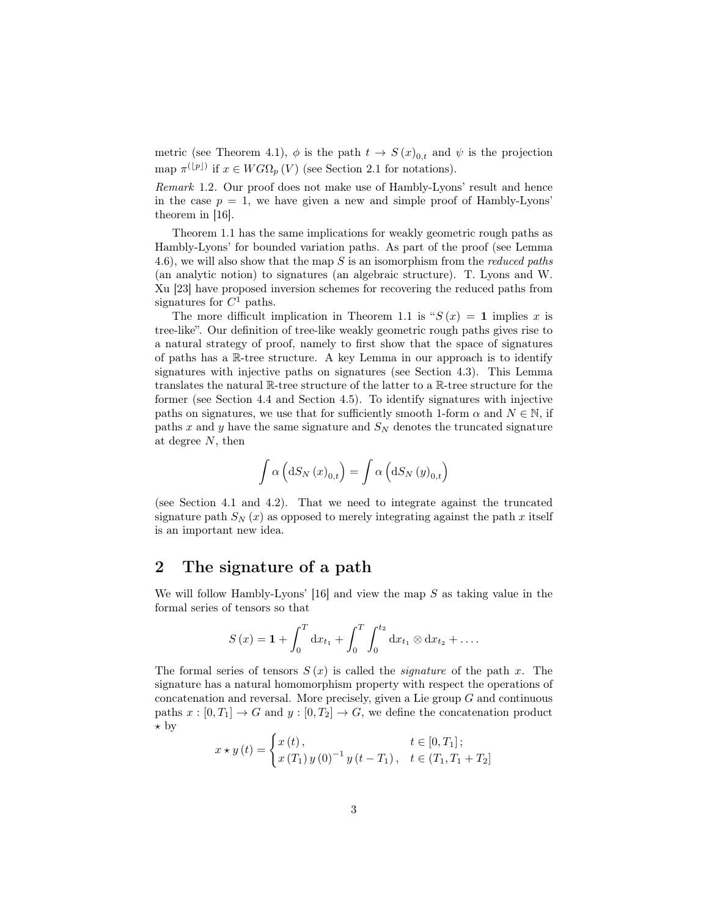metric (see Theorem 4.1),  $\phi$  is the path  $t \to S(x)_{0,t}$  and  $\psi$  is the projection map  $\pi^{(\lfloor p\rfloor)}$  if  $x \in WG\Omega_p(V)$  (see Section 2.1 for notations).

Remark 1.2. Our proof does not make use of Hambly-Lyons' result and hence in the case  $p = 1$ , we have given a new and simple proof of Hambly-Lyons' theorem in [16].

Theorem 1.1 has the same implications for weakly geometric rough paths as Hambly-Lyons' for bounded variation paths. As part of the proof (see Lemma 4.6), we will also show that the map  $S$  is an isomorphism from the *reduced paths* (an analytic notion) to signatures (an algebraic structure). T. Lyons and W. Xu [23] have proposed inversion schemes for recovering the reduced paths from signatures for  $C<sup>1</sup>$  paths.

The more difficult implication in Theorem 1.1 is " $S(x) = 1$  implies x is tree-like". Our definition of tree-like weakly geometric rough paths gives rise to a natural strategy of proof, namely to first show that the space of signatures of paths has a R-tree structure. A key Lemma in our approach is to identify signatures with injective paths on signatures (see Section 4.3). This Lemma translates the natural R-tree structure of the latter to a R-tree structure for the former (see Section 4.4 and Section 4.5). To identify signatures with injective paths on signatures, we use that for sufficiently smooth 1-form  $\alpha$  and  $N \in \mathbb{N}$ , if paths x and y have the same signature and  $S_N$  denotes the truncated signature at degree N, then

$$
\int \alpha \left( dS_N(x)_{0,t} \right) = \int \alpha \left( dS_N(y)_{0,t} \right)
$$

(see Section 4.1 and 4.2). That we need to integrate against the truncated signature path  $S_N(x)$  as opposed to merely integrating against the path x itself is an important new idea.

### 2 The signature of a path

We will follow Hambly-Lyons'  $[16]$  and view the map S as taking value in the formal series of tensors so that

$$
S(x) = \mathbf{1} + \int_0^T dx_{t_1} + \int_0^T \int_0^{t_2} dx_{t_1} \otimes dx_{t_2} + \dots
$$

The formal series of tensors  $S(x)$  is called the *signature* of the path x. The signature has a natural homomorphism property with respect the operations of concatenation and reversal. More precisely, given a Lie group G and continuous paths  $x : [0, T_1] \to G$  and  $y : [0, T_2] \to G$ , we define the concatenation product  $\star$  by

$$
x \star y(t) = \begin{cases} x(t), & t \in [0, T_1]; \\ x(T_1) y(0)^{-1} y(t - T_1), & t \in (T_1, T_1 + T_2] \end{cases}
$$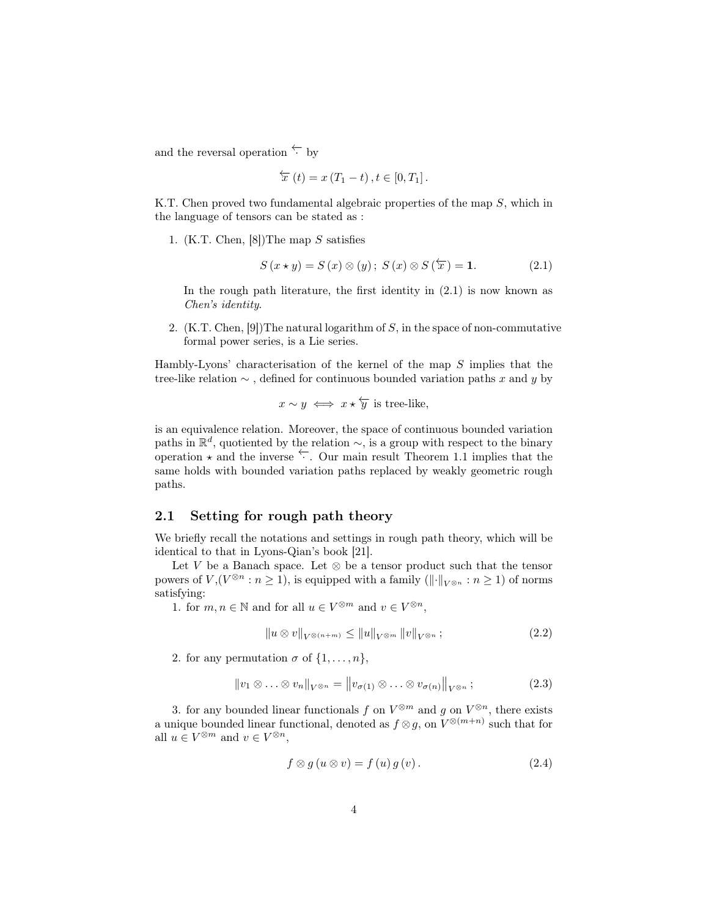and the reversal operation  $\leftarrow$  by

$$
\overleftarrow{x}(t) = x(T_1 - t), t \in [0, T_1].
$$

K.T. Chen proved two fundamental algebraic properties of the map S, which in the language of tensors can be stated as :

1. (K.T. Chen, [8])The map S satisfies

$$
S(x \star y) = S(x) \otimes (y); \ S(x) \otimes S(\overleftarrow{x}) = 1. \tag{2.1}
$$

In the rough path literature, the first identity in  $(2.1)$  is now known as Chen's identity.

2.  $(K.T. Chen, [9])$ The natural logarithm of S, in the space of non-commutative formal power series, is a Lie series.

Hambly-Lyons' characterisation of the kernel of the map  $S$  implies that the tree-like relation  $\sim$ , defined for continuous bounded variation paths x and y by

$$
x \sim y \iff x \star \overleftarrow{y}
$$
 is tree-like,

is an equivalence relation. Moreover, the space of continuous bounded variation paths in  $\mathbb{R}^d$ , quotiented by the relation  $\sim$ , is a group with respect to the binary operation  $\star$  and the inverse  $\leftarrow$ . Our main result Theorem 1.1 implies that the same holds with bounded variation paths replaced by weakly geometric rough paths.

### 2.1 Setting for rough path theory

We briefly recall the notations and settings in rough path theory, which will be identical to that in Lyons-Qian's book [21].

Let V be a Banach space. Let  $\otimes$  be a tensor product such that the tensor powers of  $V, (V^{\otimes n} : n \ge 1)$ , is equipped with a family  $(\lVert \cdot \rVert_{V^{\otimes n}} : n \ge 1)$  of norms satisfying:

1. for  $m, n \in \mathbb{N}$  and for all  $u \in V^{\otimes m}$  and  $v \in V^{\otimes n}$ ,

$$
||u \otimes v||_{V^{\otimes (n+m)}} \le ||u||_{V^{\otimes m}} ||v||_{V^{\otimes n}} ; \qquad (2.2)
$$

2. for any permutation  $\sigma$  of  $\{1, \ldots, n\}$ ,

$$
||v_1 \otimes \ldots \otimes v_n||_{V^{\otimes n}} = ||v_{\sigma(1)} \otimes \ldots \otimes v_{\sigma(n)}||_{V^{\otimes n}};
$$
\n(2.3)

3. for any bounded linear functionals f on  $V^{\otimes m}$  and g on  $V^{\otimes n}$ , there exists a unique bounded linear functional, denoted as  $f \otimes g$ , on  $V^{\otimes(m+n)}$  such that for all  $u \in V^{\otimes m}$  and  $v \in V^{\otimes n}$ ,

$$
f \otimes g (u \otimes v) = f (u) g (v).
$$
 (2.4)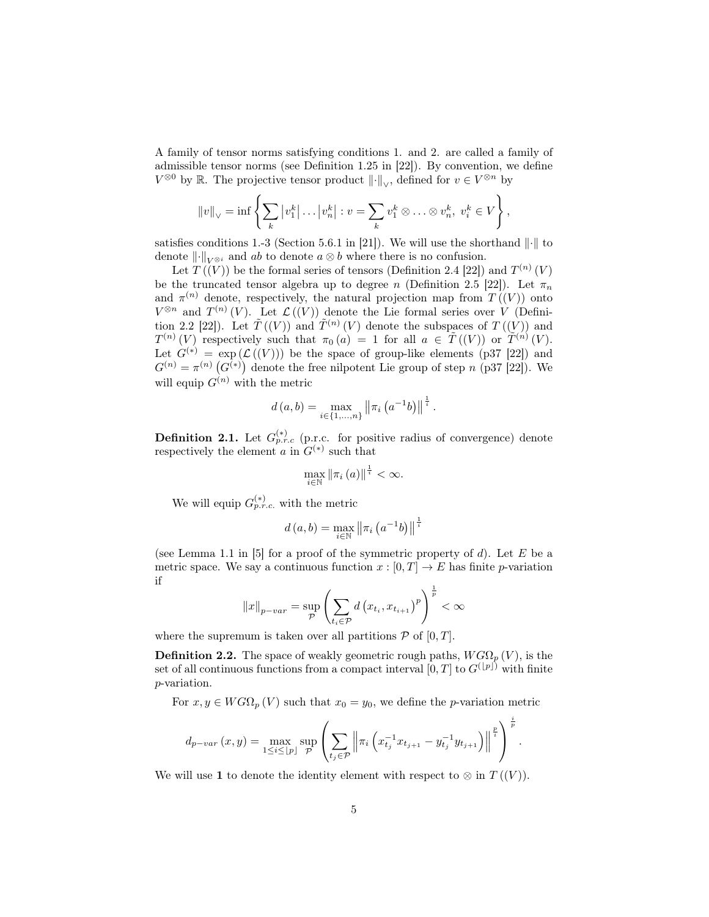A family of tensor norms satisfying conditions 1. and 2. are called a family of admissible tensor norms (see Definition 1.25 in [22]). By convention, we define  $V^{\otimes 0}$  by ℝ. The projective tensor product  $\|\cdot\|_{\vee}$ , defined for  $v \in V^{\otimes n}$  by

$$
||v||_{\vee} = \inf \left\{ \sum_{k} |v_1^k| \dots |v_n^k| : v = \sum_{k} v_1^k \otimes \dots \otimes v_n^k, \ v_i^k \in V \right\},\
$$

satisfies conditions 1.-3 (Section 5.6.1 in [21]). We will use the shorthand  $\|\cdot\|$  to denote  $\lVert \cdot \rVert_{V^{\otimes i}}$  and ab to denote  $a \otimes b$  where there is no confusion.

Let  $T((V))$  be the formal series of tensors (Definition 2.4 [22]) and  $T^{(n)}(V)$ be the truncated tensor algebra up to degree n (Definition 2.5 [22]). Let  $\pi_n$ and  $\pi^{(n)}$  denote, respectively, the natural projection map from  $T((V))$  onto  $V^{\otimes n}$  and  $T^{(n)}(V)$ . Let  $\mathcal{L}((V))$  denote the Lie formal series over V (Definition 2.2 [22]). Let  $\tilde{T}(V)$  and  $\tilde{T}^{(n)}(V)$  denote the subspaces of  $T((V))$  and  $T^{(n)}(V)$  respectively such that  $\pi_0(a) = 1$  for all  $a \in \widetilde{T}((V))$  or  $\widetilde{T}^{(n)}(V)$ . Let  $G^{(*)} = \exp(\mathcal{L}((V)))$  be the space of group-like elements (p37 [22]) and  $G^{(n)} = \pi^{(n)}(G^{(*)})$  denote the free nilpotent Lie group of step n (p37 [22]). We will equip  $G^{(n)}$  with the metric

$$
d(a,b) = \max_{i \in \{1,\ldots,n\}} ||\pi_i(a^{-1}b)||^{\frac{1}{i}}.
$$

**Definition 2.1.** Let  $G_{p.r.c}^{(*)}$  (p.r.c. for positive radius of convergence) denote respectively the element a in  $G^{(*)}$  such that

$$
\max_{i\in\mathbb{N}}\left\Vert \pi_{i}\left(a\right)\right\Vert ^{\frac{1}{i}}<\infty.
$$

We will equip  $G_{p.r.c.}^{(*)}$  with the metric

$$
d(a, b) = \max_{i \in \mathbb{N}} ||\pi_i(a^{-1}b)||^{\frac{1}{i}}
$$

(see Lemma 1.1 in [5] for a proof of the symmetric property of  $d$ ). Let  $E$  be a metric space. We say a continuous function  $x : [0, T] \to E$  has finite p-variation if

$$
||x||_{p-var} = \sup_{\mathcal{P}} \left( \sum_{t_i \in \mathcal{P}} d\left(x_{t_i}, x_{t_{i+1}}\right)^p \right)^{\frac{1}{p}} < \infty
$$

where the supremum is taken over all partitions  $P$  of  $[0, T]$ .

**Definition 2.2.** The space of weakly geometric rough paths,  $W G \Omega_p(V)$ , is the set of all continuous functions from a compact interval  $[0, T]$  to  $G^{(\lfloor p \rfloor)}$  with finite p-variation.

For  $x, y \in WG\Omega_p(V)$  such that  $x_0 = y_0$ , we define the *p*-variation metric

$$
d_{p-var}(x,y) = \max_{1 \leq i \leq \lfloor p \rfloor} \sup_{\mathcal{P}} \left( \sum_{t_j \in \mathcal{P}} \left\| \pi_i \left( x_{t_j}^{-1} x_{t_{j+1}} - y_{t_j}^{-1} y_{t_{j+1}} \right) \right\|^{\frac{p}{i}} \right)^{\frac{i}{p}}.
$$

We will use 1 to denote the identity element with respect to  $\otimes$  in  $T((V))$ .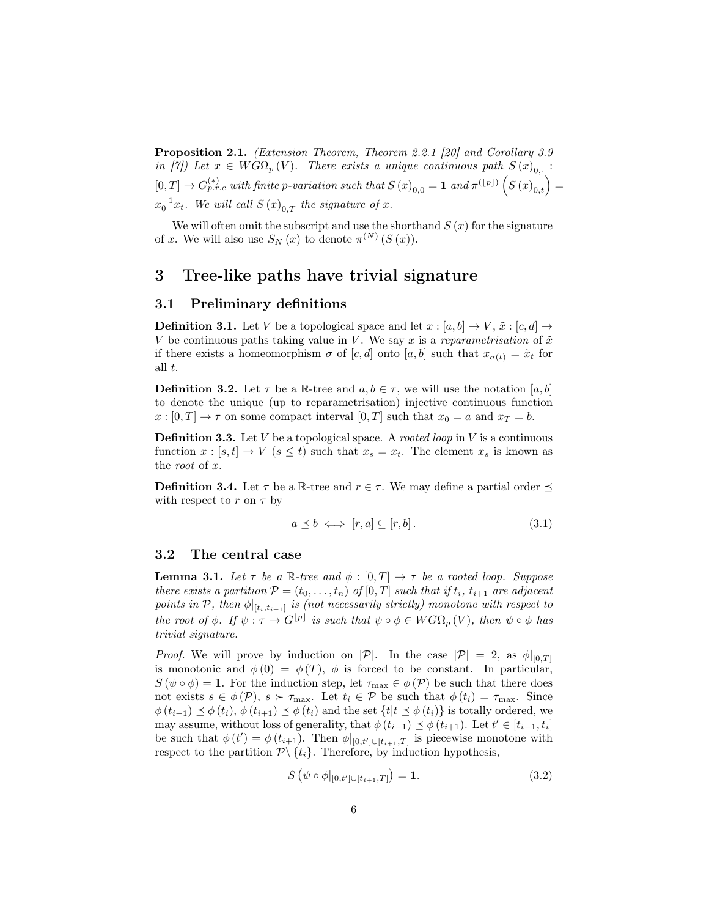Proposition 2.1. (Extension Theorem, Theorem 2.2.1 [20] and Corollary 3.9 in [7]) Let  $x \in WG\Omega_p(V)$ . There exists a unique continuous path  $S(x)_{0,+}$ :  $[0,T] \to G_{p.r.c}^{(*)}$  with finite p-variation such that  $S(x)_{0,0} = 1$  and  $\pi^{([p])} (S(x)_{0,t}) =$  $x_0^{-1}x_t$ . We will call  $S(x)_{0,T}$  the signature of x.

We will often omit the subscript and use the shorthand  $S(x)$  for the signature of x. We will also use  $S_N(x)$  to denote  $\pi^{(N)}(S(x))$ .

### 3 Tree-like paths have trivial signature

### 3.1 Preliminary definitions

**Definition 3.1.** Let V be a topological space and let  $x : [a, b] \rightarrow V$ ,  $\tilde{x} : [c, d] \rightarrow$ V be continuous paths taking value in V. We say x is a reparametrisation of  $\tilde{x}$ if there exists a homeomorphism  $\sigma$  of  $[c, d]$  onto  $[a, b]$  such that  $x_{\sigma(t)} = \tilde{x}_t$  for all t.

**Definition 3.2.** Let  $\tau$  be a R-tree and  $a, b \in \tau$ , we will use the notation [a, b] to denote the unique (up to reparametrisation) injective continuous function  $x : [0, T] \to \tau$  on some compact interval  $[0, T]$  such that  $x_0 = a$  and  $x_T = b$ .

**Definition 3.3.** Let  $V$  be a topological space. A *rooted loop* in  $V$  is a continuous function  $x : [s, t] \to V$   $(s \leq t)$  such that  $x_s = x_t$ . The element  $x_s$  is known as the root of x.

**Definition 3.4.** Let  $\tau$  be a R-tree and  $r \in \tau$ . We may define a partial order  $\preceq$ with respect to r on  $\tau$  by

$$
a \preceq b \iff [r, a] \subseteq [r, b]. \tag{3.1}
$$

#### 3.2 The central case

**Lemma 3.1.** Let  $\tau$  be a R-tree and  $\phi : [0, T] \rightarrow \tau$  be a rooted loop. Suppose there exists a partition  $P = (t_0, \ldots, t_n)$  of  $[0, T]$  such that if  $t_i$ ,  $t_{i+1}$  are adjacent points in  $\mathcal{P}$ , then  $\phi|_{[t_i,t_{i+1}]}$  is (not necessarily strictly) monotone with respect to the root of  $\phi$ . If  $\psi : \tau \to G^{[p]}$  is such that  $\psi \circ \phi \in WG\Omega_p(V)$ , then  $\psi \circ \phi$  has trivial signature.

*Proof.* We will prove by induction on  $|\mathcal{P}|$ . In the case  $|\mathcal{P}| = 2$ , as  $\phi|_{[0,T]}$ is monotonic and  $\phi(0) = \phi(T)$ ,  $\phi$  is forced to be constant. In particular,  $S(\psi \circ \phi) = 1$ . For the induction step, let  $\tau_{\text{max}} \in \phi(\mathcal{P})$  be such that there does not exists  $s \in \phi(\mathcal{P}), s \succ \tau_{\text{max}}$ . Let  $t_i \in \mathcal{P}$  be such that  $\phi(t_i) = \tau_{\text{max}}$ . Since  $\phi(t_{i-1}) \preceq \phi(t_i), \phi(t_{i+1}) \preceq \phi(t_i)$  and the set  $\{t | t \preceq \phi(t_i)\}$  is totally ordered, we may assume, without loss of generality, that  $\phi(t_{i-1}) \preceq \phi(t_{i+1})$ . Let  $t' \in [t_{i-1}, t_i]$ be such that  $\phi(t') = \phi(t_{i+1})$ . Then  $\phi|_{[0,t'] \cup [t_{i+1},T]}$  is piecewise monotone with respect to the partition  $\mathcal{P}\backslash \{t_i\}$ . Therefore, by induction hypothesis,

$$
S(\psi \circ \phi|_{[0,t'] \cup [t_{i+1},T]}) = 1.
$$
\n(3.2)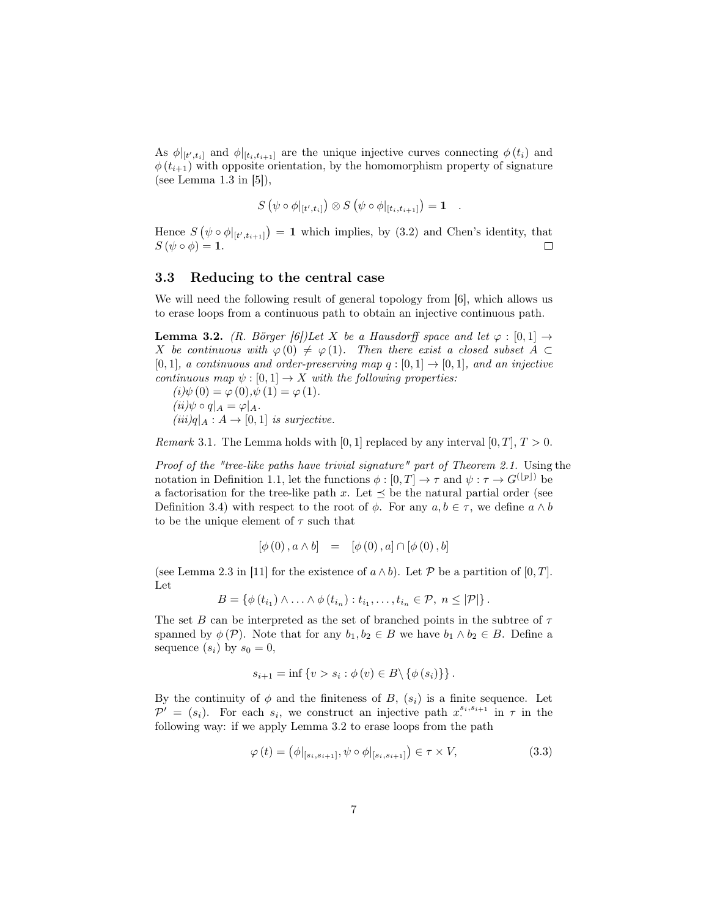As  $\phi|_{[t',t_i]}$  and  $\phi|_{[t_i,t_{i+1}]}$  are the unique injective curves connecting  $\phi(t_i)$  and  $\phi(t_{i+1})$  with opposite orientation, by the homomorphism property of signature (see Lemma 1.3 in [5]),

$$
S(\psi \circ \phi|_{[t',t_i]}) \otimes S(\psi \circ \phi|_{[t_i,t_{i+1}]}) = \mathbf{1}.
$$

Hence  $S(\psi \circ \phi|_{[t',t_{i+1}]}) = 1$  which implies, by (3.2) and Chen's identity, that  $S(\psi \circ \phi) = \mathbf{1}.$  $\Box$ 

### 3.3 Reducing to the central case

We will need the following result of general topology from [6], which allows us to erase loops from a continuous path to obtain an injective continuous path.

**Lemma 3.2.** (R. Börger [6])Let X be a Hausdorff space and let  $\varphi : [0,1] \rightarrow$ X be continuous with  $\varphi(0) \neq \varphi(1)$ . Then there exist a closed subset  $A \subset$  $[0, 1]$ , a continuous and order-preserving map  $q : [0, 1] \rightarrow [0, 1]$ , and an injective continuous map  $\psi : [0, 1] \to X$  with the following properties:

 $(i)\psi(0) = \varphi(0), \psi(1) = \varphi(1).$  $(ii)\psi \circ q|_A = \varphi|_A.$  $(iii)q|_A: A \rightarrow [0,1]$  is surjective.

*Remark* 3.1. The Lemma holds with [0, 1] replaced by any interval [0, T],  $T > 0$ .

Proof of the "tree-like paths have trivial signature" part of Theorem 2.1. Using the notation in Definition 1.1, let the functions  $\phi : [0, T] \to \tau$  and  $\psi : \tau \to G^{([p])}$  be a factorisation for the tree-like path x. Let  $\prec$  be the natural partial order (see Definition 3.4) with respect to the root of  $\phi$ . For any  $a, b \in \tau$ , we define  $a \wedge b$ to be the unique element of  $\tau$  such that

$$
[\phi(0), a \wedge b] = [\phi(0), a] \cap [\phi(0), b]
$$

(see Lemma 2.3 in [11] for the existence of  $a \wedge b$ ). Let P be a partition of [0, T]. Let

$$
B = \left\{ \phi(t_{i_1}) \wedge \ldots \wedge \phi(t_{i_n}) : t_{i_1}, \ldots, t_{i_n} \in \mathcal{P}, n \leq |\mathcal{P}|\right\}.
$$

The set B can be interpreted as the set of branched points in the subtree of  $\tau$ spanned by  $\phi(\mathcal{P})$ . Note that for any  $b_1, b_2 \in B$  we have  $b_1 \wedge b_2 \in B$ . Define a sequence  $(s_i)$  by  $s_0 = 0$ ,

$$
s_{i+1} = \inf \left\{ v > s_i : \phi(v) \in B \setminus \{\phi(s_i)\}\right\}.
$$

By the continuity of  $\phi$  and the finiteness of B,  $(s_i)$  is a finite sequence. Let  $\overline{P'} = (s_i)$ . For each  $s_i$ , we construct an injective path  $x_i^{s_i, s_{i+1}}$  in  $\tau$  in the following way: if we apply Lemma 3.2 to erase loops from the path

$$
\varphi(t) = \left(\phi|_{[s_i, s_{i+1}]}, \psi \circ \phi|_{[s_i, s_{i+1}]}\right) \in \tau \times V,\tag{3.3}
$$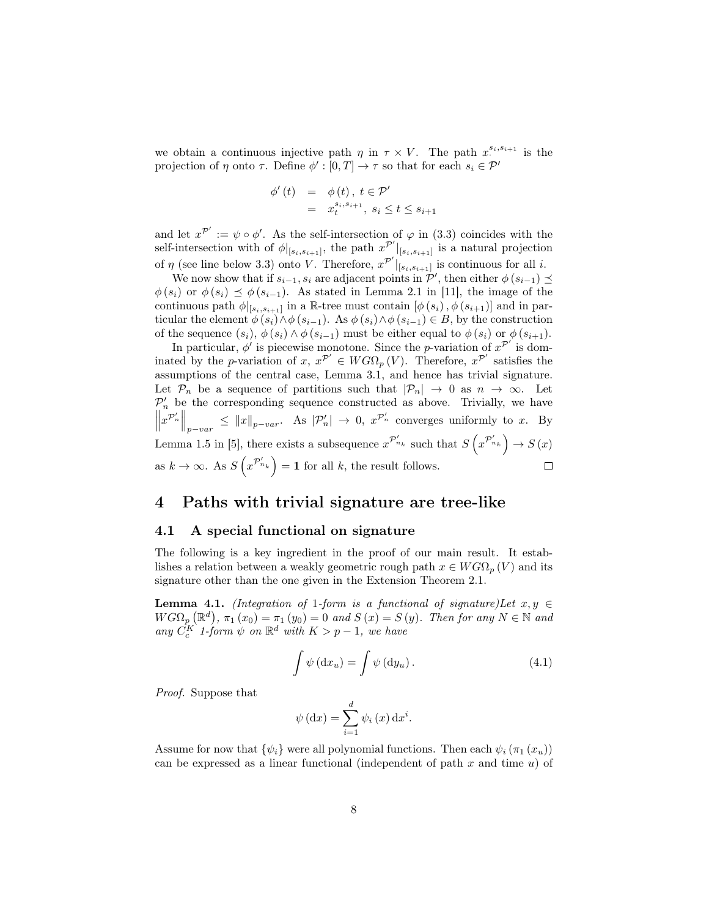we obtain a continuous injective path  $\eta$  in  $\tau \times V$ . The path  $x^{s_i, s_{i+1}}$  is the projection of  $\eta$  onto  $\tau$ . Define  $\phi' : [0, T] \to \tau$  so that for each  $s_i \in \mathcal{P}'$ 

$$
\begin{array}{rcl}\n\phi'(t) & = & \phi(t), \ t \in \mathcal{P}' \\
& = & x_t^{s_i, s_{i+1}}, \ s_i \le t \le s_{i+1}\n\end{array}
$$

and let  $x^{\mathcal{P}'} := \psi \circ \phi'$ . As the self-intersection of  $\varphi$  in (3.3) coincides with the self-intersection with of  $\phi|_{[s_i,s_{i+1}]}$ , the path  $x^{\mathcal{P}'}|_{[s_i,s_{i+1}]}$  is a natural projection of  $\eta$  (see line below 3.3) onto V. Therefore,  $x^{\mathcal{P}'}|_{[s_i,s_{i+1}]}$  is continuous for all i.

We now show that if  $s_{i-1}, s_i$  are adjacent points in  $\mathcal{P}'$ , then either  $\phi(s_{i-1}) \preceq$  $\phi(s_i)$  or  $\phi(s_i) \preceq \phi(s_{i-1})$ . As stated in Lemma 2.1 in [11], the image of the continuous path  $\phi|_{[s_i,s_{i+1}]}$  in a R-tree must contain  $[\phi(s_i), \phi(s_{i+1})]$  and in particular the element  $\phi(s_i) \wedge \phi(s_{i-1})$ . As  $\phi(s_i) \wedge \phi(s_{i-1}) \in B$ , by the construction of the sequence  $(s_i)$ ,  $\phi(s_i) \wedge \phi(s_{i-1})$  must be either equal to  $\phi(s_i)$  or  $\phi(s_{i+1})$ .

In particular,  $\phi'$  is piecewise monotone. Since the *p*-variation of  $x^{p'}$  is dominated by the p-variation of x,  $x^{\mathcal{P}'} \in WG\Omega_p(V)$ . Therefore,  $x^{\mathcal{P}'}$  satisfies the assumptions of the central case, Lemma 3.1, and hence has trivial signature. Let  $\mathcal{P}_n$  be a sequence of partitions such that  $|\mathcal{P}_n| \to 0$  as  $n \to \infty$ . Let  $\mathcal{P}'_n$  be the corresponding sequence constructed as above. Trivially, we have  $||x^{\mathcal{P}'_n}||_{p-var} \le ||x||_{p-var}.$  As  $|\mathcal{P}'_n| \to 0$ ,  $x^{\mathcal{P}'_n}$  converges uniformly to x. By Lemma 1.5 in [5], there exists a subsequence  $x^{\mathcal{P}'_{n_k}}$  such that  $S(x^{\mathcal{P}'_{n_k}}) \to S(x)$ as  $k \to \infty$ . As  $S\left(x^{\mathcal{P}'_{n_k}}\right) = 1$  for all k, the result follows.  $\Box$ 

### 4 Paths with trivial signature are tree-like

### 4.1 A special functional on signature

The following is a key ingredient in the proof of our main result. It establishes a relation between a weakly geometric rough path  $x \in WG\Omega_p(V)$  and its signature other than the one given in the Extension Theorem 2.1.

**Lemma 4.1.** (Integration of 1-form is a functional of signature)Let  $x, y \in$  $WG\Omega_p(\mathbb{R}^d), \pi_1(x_0) = \pi_1(y_0) = 0$  and  $S(x) = S(y)$ . Then for any  $N \in \mathbb{N}$  and any  $C_c^K$  1-form  $\psi$  on  $\mathbb{R}^d$  with  $K > p-1$ , we have

$$
\int \psi (\mathrm{d}x_u) = \int \psi (\mathrm{d}y_u). \tag{4.1}
$$

Proof. Suppose that

$$
\psi \left( dx \right) = \sum_{i=1}^{d} \psi_i \left( x \right) dx^i.
$$

Assume for now that  $\{\psi_i\}$  were all polynomial functions. Then each  $\psi_i(\pi_1(x_u))$ can be expressed as a linear functional (independent of path  $x$  and time  $u$ ) of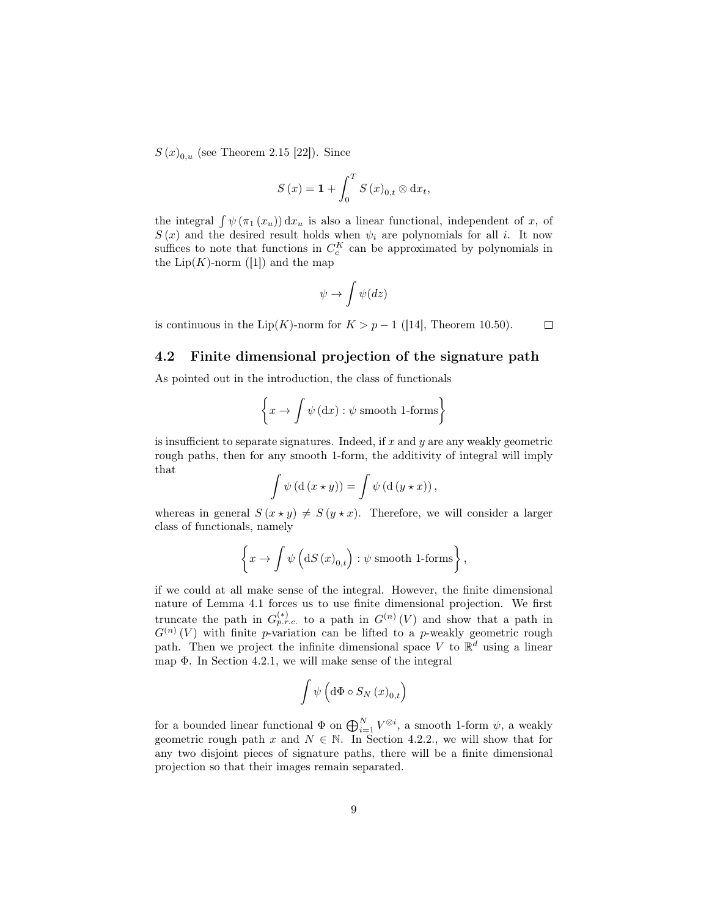$S(x)_{0,u}$  (see Theorem 2.15 [22]). Since

$$
S(x) = \mathbf{1} + \int_0^T S(x)_{0,t} \otimes dx_t,
$$

the integral  $\int \psi(\pi_1(x_u)) dx_u$  is also a linear functional, independent of x, of  $S(x)$  and the desired result holds when  $\psi_i$  are polynomials for all i. It now suffices to note that functions in  $C_c^K$  can be approximated by polynomials in the  $\text{Lip}(K)$ -norm ([1]) and the map

$$
\psi \to \int \psi (dz)
$$

is continuous in the Lip(K)-norm for  $K > p - 1$  ([14], Theorem 10.50).

#### $\Box$

### 4.2 Finite dimensional projection of the signature path

As pointed out in the introduction, the class of functionals

$$
\left\{ x \to \int \psi \left( dx \right) : \psi \text{ smooth 1-forms} \right\}
$$

is insufficient to separate signatures. Indeed, if  $x$  and  $y$  are any weakly geometric rough paths, then for any smooth 1-form, the additivity of integral will imply that

$$
\int \psi \left( d \left( x \star y \right) \right) = \int \psi \left( d \left( y \star x \right) \right),
$$

whereas in general  $S(x \star y) \neq S(y \star x)$ . Therefore, we will consider a larger class of functionals, namely

$$
\left\{ x \to \int \psi \left( dS \left( x \right)_{0,t} \right) : \psi \text{ smooth 1-forms} \right\},\
$$

if we could at all make sense of the integral. However, the finite dimensional nature of Lemma 4.1 forces us to use finite dimensional projection. We first truncate the path in  $G_{p.r.c.}^{(*)}$  to a path in  $G^{(n)}(V)$  and show that a path in  $G^{(n)}(V)$  with finite p-variation can be lifted to a p-weakly geometric rough path. Then we project the infinite dimensional space V to  $\mathbb{R}^d$  using a linear map Φ. In Section 4.2.1, we will make sense of the integral

$$
\int \psi \left( \mathrm{d}\Phi \circ S_{N}\left( x\right) _{0,t}\right)
$$

for a bounded linear functional  $\Phi$  on  $\bigoplus_{i=1}^{N} V^{\otimes i}$ , a smooth 1-form  $\psi$ , a weakly geometric rough path x and  $N \in \mathbb{N}$ . In Section 4.2.2., we will show that for any two disjoint pieces of signature paths, there will be a finite dimensional projection so that their images remain separated.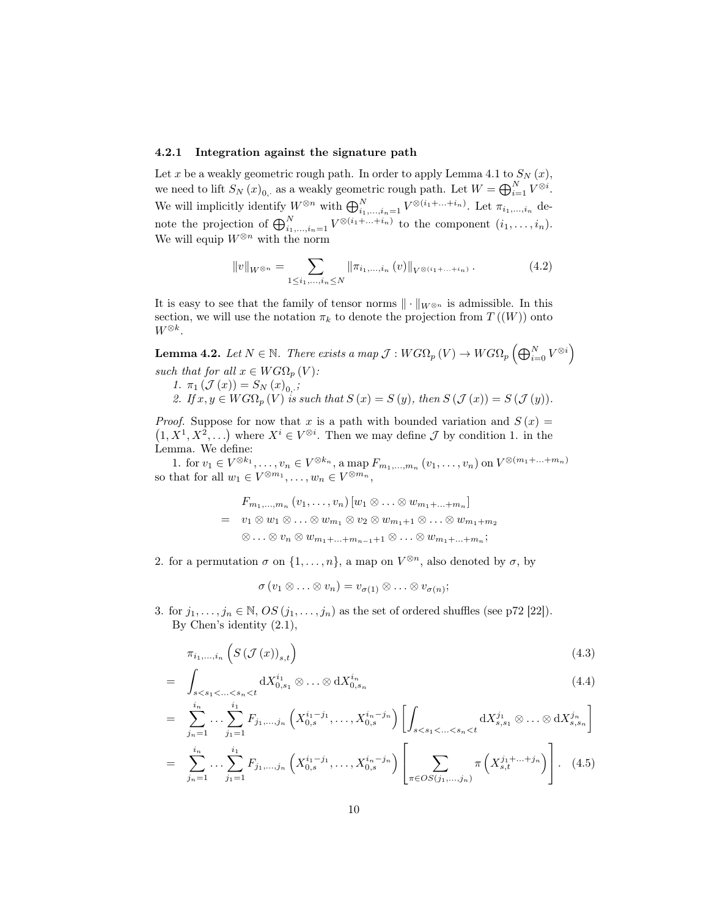### 4.2.1 Integration against the signature path

Let x be a weakly geometric rough path. In order to apply Lemma 4.1 to  $S_N(x)$ , we need to lift  $S_N(x)_{0,\cdot}$  as a weakly geometric rough path. Let  $W=\bigoplus_{i=1}^N V^{\otimes i}$ . We will implicitly identify  $W^{\otimes n}$  with  $\bigoplus_{i_1,\dots,i_n=1}^N V^{\otimes (i_1+\dots+i_n)}$ . Let  $\pi_{i_1,\dots,i_n}$  denote the projection of  $\bigoplus_{i_1,\dots,i_n=1}^N V^{\otimes (i_1+\dots+i_n)}$  to the component  $(i_1,\dots,i_n)$ . We will equip  $W^{\otimes n}$  with the norm

$$
||v||_{W^{\otimes n}} = \sum_{1 \le i_1, ..., i_n \le N} ||\pi_{i_1, ..., i_n}(v)||_{V^{\otimes (i_1 + ... + i_n)}}.
$$
 (4.2)

It is easy to see that the family of tensor norms  $\|\cdot\|_{W^{\otimes n}}$  is admissible. In this section, we will use the notation  $\pi_k$  to denote the projection from  $T((W))$  onto  $W^{\otimes k}$ .

 ${\bf Lemma \ 4.2.} \ \ Let \ N \in {\mathbb N}. \ \ Then \ exists \ a \ map \ {\mathcal J}: WG\Omega_p \left( V \right) \rightarrow WG\Omega_p \left( \bigoplus_{i=0}^N V^{\otimes i} \right)$ such that for all  $x \in WG\Omega_p(V)$ :

1.  $\pi_1(\mathcal{J}(x)) = S_N(x)_{0,.};$ 

=

2. If  $x, y \in WG\Omega_n(V)$  is such that  $S(x) = S(y)$ , then  $S(\mathcal{J}(x)) = S(\mathcal{J}(y))$ .

*Proof.* Suppose for now that x is a path with bounded variation and  $S(x) =$  $(1, X^1, X^2, \ldots)$  where  $X^i \in V^{\otimes i}$ . Then we may define  $\mathcal J$  by condition 1. in the Lemma. We define:

1. for  $v_1 \in V^{\otimes k_1}, \ldots, v_n \in V^{\otimes k_n}$ , a map  $F_{m_1,...,m_n}(v_1, \ldots, v_n)$  on  $V^{\otimes (m_1 + ... + m_n)}$ so that for all  $w_1 \in V^{\otimes m_1}, \ldots, w_n \in V^{\otimes m_n}$ ,

$$
F_{m_1,\ldots,m_n}(v_1,\ldots,v_n)[w_1\otimes\ldots\otimes w_{m_1+\ldots+m_n}]
$$
  
=  $v_1\otimes w_1\otimes\ldots\otimes w_{m_1}\otimes v_2\otimes w_{m_1+1}\otimes\ldots\otimes w_{m_1+m_2}$   
 $\otimes\ldots\otimes v_n\otimes w_{m_1+\ldots+m_{n-1}+1}\otimes\ldots\otimes w_{m_1+\ldots+m_n};$ 

2. for a permutation  $\sigma$  on  $\{1, \ldots, n\}$ , a map on  $V^{\otimes n}$ , also denoted by  $\sigma$ , by

 $\sigma(v_1\otimes \ldots \otimes v_n)=v_{\sigma(1)}\otimes \ldots \otimes v_{\sigma(n)};$ 

3. for  $j_1, \ldots, j_n \in \mathbb{N}, OS (j_1, \ldots, j_n)$  as the set of ordered shuffles (see p72 [22]). By Chen's identity (2.1),

$$
\pi_{i_1,\dots,i_n}\left(S\left(\mathcal{J}\left(x\right)\right)_{s,t}\right) \tag{4.3}
$$

$$
= \int_{s < s_1 < \ldots < s_n < t} dX_{0,s_1}^{i_1} \otimes \ldots \otimes dX_{0,s_n}^{i_n}
$$
 (4.4)

$$
= \sum_{j_n=1}^{i_n} \dots \sum_{j_1=1}^{i_1} F_{j_1, \dots, j_n} \left( X_{0,s}^{i_1-j_1}, \dots, X_{0,s}^{i_n-j_n} \right) \left[ \int_{s < s_1 < \dots < s_n < t} dX_{s,s_1}^{j_1} \otimes \dots \otimes dX_{s,s_n}^{j_n} \right]
$$
\n
$$
= \sum_{j_n=1}^{i_n} \dots \sum_{j_1=1}^{i_1} F_{j_1, \dots, j_n} \left( X_{0,s}^{i_1-j_1}, \dots, X_{0,s}^{i_n-j_n} \right) \left[ \sum_{\pi \in OS(j_1, \dots, j_n)} \pi \left( X_{s,t}^{j_1 + \dots + j_n} \right) \right]. \tag{4.5}
$$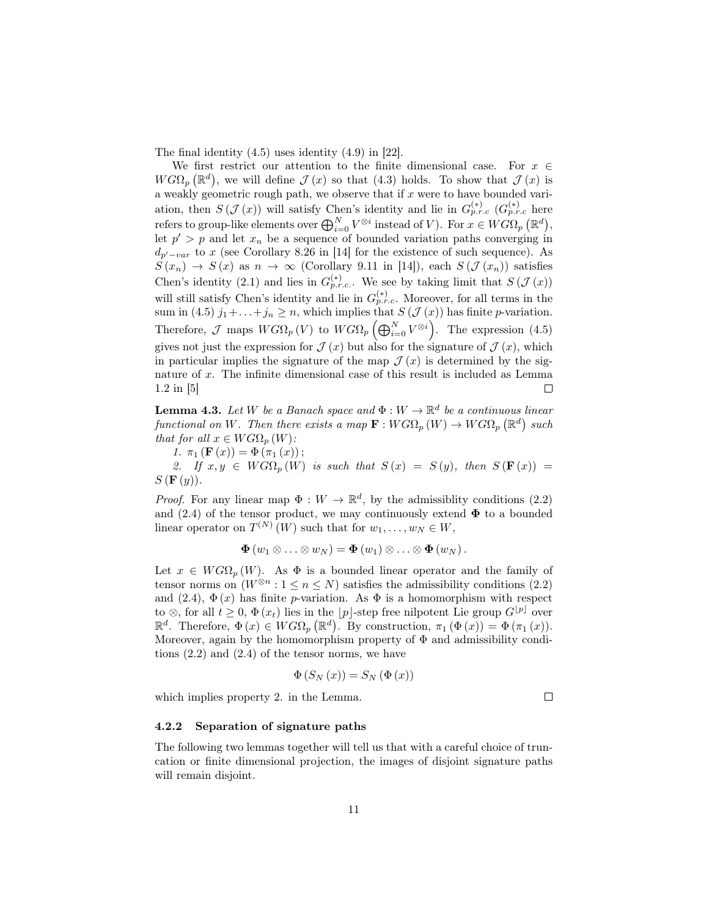The final identity (4.5) uses identity (4.9) in [22].

We first restrict our attention to the finite dimensional case. For  $x \in$  $W G \Omega_p (\mathbb{R}^d)$ , we will define  $\mathcal{J}(x)$  so that  $(4.3)$  holds. To show that  $\mathcal{J}(x)$  is a weakly geometric rough path, we observe that if  $x$  were to have bounded variation, then  $S(\mathcal{J}(x))$  will satisfy Chen's identity and lie in  $G_{p.r.c}^{(*)}$   $(G_{p.r.c}^{(*)}$  here refers to group-like elements over  $\bigoplus_{i=0}^{N} V^{\otimes i}$  instead of V). For  $x \in WG\Omega_p (\mathbb{R}^d)$ , let  $p' > p$  and let  $x_n$  be a sequence of bounded variation paths converging in  $d_{p'-var}$  to x (see Corollary 8.26 in [14] for the existence of such sequence). As  $S(x_n) \to S(x)$  as  $n \to \infty$  (Corollary 9.11 in [14]), each  $S(\mathcal{J}(x_n))$  satisfies Chen's identity (2.1) and lies in  $G_{p.r.c.}^{(*)}$ . We see by taking limit that  $S(\mathcal{J}(x))$ will still satisfy Chen's identity and lie in  $G_{p.r.c.}^{(*)}$ . Moreover, for all terms in the sum in (4.5)  $j_1 + \ldots + j_n \ge n$ , which implies that  $S(\mathcal{J}(x))$  has finite p-variation. Therefore,  $\mathcal J$  maps  $W G \Omega_p (V)$  to  $W G \Omega_p \left( \bigoplus_{i=0}^N V^{\otimes i} \right)$ . The expression (4.5) gives not just the expression for  $\mathcal{J}(x)$  but also for the signature of  $\mathcal{J}(x)$ , which in particular implies the signature of the map  $\mathcal{J}(x)$  is determined by the signature of x. The infinite dimensional case of this result is included as Lemma 1.2 in [5]  $\Box$ 

**Lemma 4.3.** Let W be a Banach space and  $\Phi: W \to \mathbb{R}^d$  be a continuous linear functional on W. Then there exists a map  $\mathbf{F}: WG\Omega_p(W) \to WG\Omega_p(\mathbb{R}^d)$  such that for all  $x \in WG\Omega_p(W)$ :

1.  $\pi_1(\mathbf{F}(x)) = \Phi(\pi_1(x));$ 

2. If  $x, y \in WG\Omega_p(W)$  is such that  $S(x) = S(y)$ , then  $S(F(x)) =$  $S(\mathbf{F}(y))$ .

*Proof.* For any linear map  $\Phi: W \to \mathbb{R}^d$ , by the admissibility conditions (2.2) and (2.4) of the tensor product, we may continuously extend  $\Phi$  to a bounded linear operator on  $T^{(N)}(W)$  such that for  $w_1, \ldots, w_N \in W$ ,

$$
\mathbf{\Phi}(w_1\otimes\ldots\otimes w_N)=\mathbf{\Phi}(w_1)\otimes\ldots\otimes\mathbf{\Phi}(w_N).
$$

Let  $x \in WG\Omega_p(W)$ . As  $\Phi$  is a bounded linear operator and the family of tensor norms on  $(W^{\otimes n} : 1 \le n \le N)$  satisfies the admissibility conditions (2.2) and (2.4),  $\Phi(x)$  has finite *p*-variation. As  $\Phi$  is a homomorphism with respect to ⊗, for all  $t \geq 0$ ,  $\Phi(x_t)$  lies in the  $|p|$ -step free nilpotent Lie group  $G^{[p]}$  over  $\mathbb{R}^d$ . Therefore,  $\Phi(x) \in WG\Omega_p(\mathbb{R}^d)$ . By construction,  $\pi_1(\Phi(x)) = \Phi(\pi_1(x))$ . Moreover, again by the homomorphism property of  $\Phi$  and admissibility conditions (2.2) and (2.4) of the tensor norms, we have

$$
\Phi\left(S_{N}\left(x\right)\right)=S_{N}\left(\Phi\left(x\right)\right)
$$

which implies property 2. in the Lemma.

 $\Box$ 

#### 4.2.2 Separation of signature paths

The following two lemmas together will tell us that with a careful choice of truncation or finite dimensional projection, the images of disjoint signature paths will remain disjoint.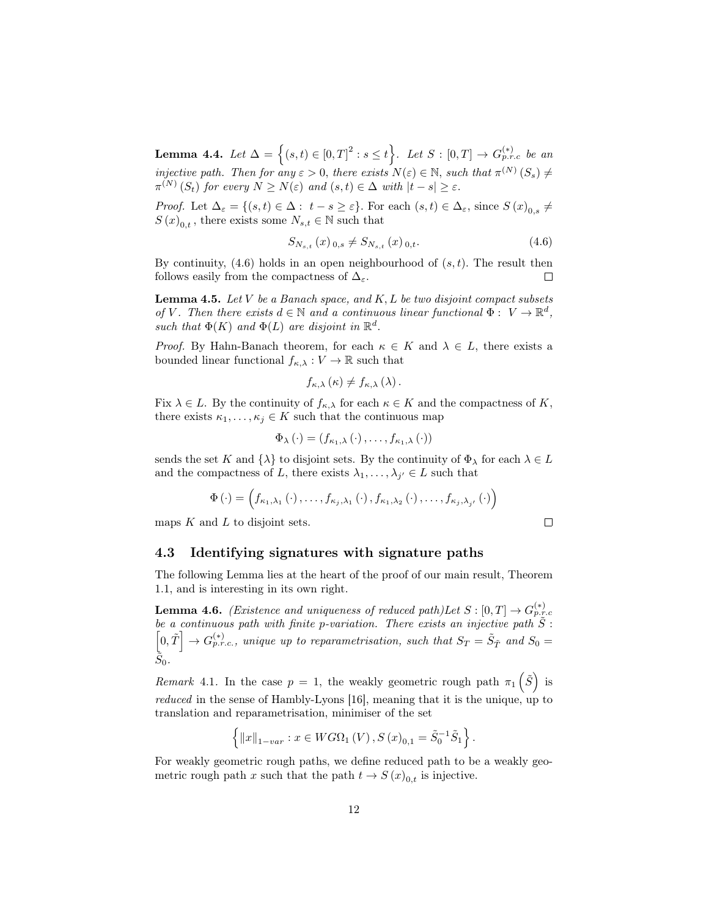Lemma 4.4. Let  $\Delta = \{(s, t) \in [0, T]^2 : s \le t\}$ . Let  $S : [0, T] \to G_{p.r.c}^{(*)}$  be an injective path. Then for any  $\varepsilon > 0$ , there exists  $N(\varepsilon) \in \mathbb{N}$ , such that  $\pi^{(N)}(S_s) \neq$  $\pi^{(N)}(S_t)$  for every  $N \ge N(\varepsilon)$  and  $(s,t) \in \Delta$  with  $|t-s| \ge \varepsilon$ .

*Proof.* Let  $\Delta_{\varepsilon} = \{(s,t) \in \Delta : t - s \geq \varepsilon\}$ . For each  $(s,t) \in \Delta_{\varepsilon}$ , since  $S(x)_{0,s} \neq$  $S(x)_{0,t}$ , there exists some  $N_{s,t} \in \mathbb{N}$  such that

$$
S_{N_{s,t}}(x)_{0,s} \neq S_{N_{s,t}}(x)_{0,t}.\tag{4.6}
$$

 $\Box$ 

By continuity,  $(4.6)$  holds in an open neighbourhood of  $(s, t)$ . The result then follows easily from the compactness of  $\Delta_{\varepsilon}$ .  $\Box$ 

**Lemma 4.5.** Let  $V$  be a Banach space, and  $K, L$  be two disjoint compact subsets of V. Then there exists  $d \in \mathbb{N}$  and a continuous linear functional  $\Phi : V \to \mathbb{R}^d$ , such that  $\Phi(K)$  and  $\Phi(L)$  are disjoint in  $\mathbb{R}^d$ .

*Proof.* By Hahn-Banach theorem, for each  $\kappa \in K$  and  $\lambda \in L$ , there exists a bounded linear functional  $f_{\kappa,\lambda}: V \to \mathbb{R}$  such that

$$
f_{\kappa,\lambda}\left(\kappa\right)\neq f_{\kappa,\lambda}\left(\lambda\right).
$$

Fix  $\lambda \in L$ . By the continuity of  $f_{\kappa,\lambda}$  for each  $\kappa \in K$  and the compactness of K, there exists  $\kappa_1, \ldots, \kappa_j \in K$  such that the continuous map

$$
\Phi_{\lambda}(\cdot)=(f_{\kappa_1,\lambda}(\cdot),\ldots,f_{\kappa_1,\lambda}(\cdot))
$$

sends the set K and  $\{\lambda\}$  to disjoint sets. By the continuity of  $\Phi_{\lambda}$  for each  $\lambda \in L$ and the compactness of L, there exists  $\lambda_1, \ldots, \lambda_{j'} \in L$  such that

$$
\Phi(\cdot)=\left(f_{\kappa_1,\lambda_1}(\cdot),\ldots,f_{\kappa_j,\lambda_1}(\cdot),f_{\kappa_1,\lambda_2}(\cdot),\ldots,f_{\kappa_j,\lambda_{j'}}(\cdot)\right)
$$

maps  $K$  and  $L$  to disjoint sets.

### 4.3 Identifying signatures with signature paths

The following Lemma lies at the heart of the proof of our main result, Theorem 1.1, and is interesting in its own right.

**Lemma 4.6.** (Existence and uniqueness of reduced path)Let  $S : [0, T] \rightarrow G_{p.r.c}^{(*)}$ <br>be a continuous path with finite p-variation. There exists an injective path  $\tilde{S}$ :  $\left[0,\tilde{T}\right]\rightarrow G_{p.r.c.}^{(*)}$ , unique up to reparametrisation, such that  $S_T = \tilde{S}_{\tilde{T}}$  and  $S_0 =$  $\bar{\tilde{S}}_0.$ 

Remark 4.1. In the case  $p = 1$ , the weakly geometric rough path  $\pi_1(\tilde{S})$  is reduced in the sense of Hambly-Lyons [16], meaning that it is the unique, up to translation and reparametrisation, minimiser of the set

$$
\left\{ ||x||_{1-var} : x \in WG\Omega_1(V), S(x)_{0,1} = \tilde{S}_0^{-1} \tilde{S}_1 \right\}.
$$

For weakly geometric rough paths, we define reduced path to be a weakly geometric rough path x such that the path  $t \to S(x)_{0,t}$  is injective.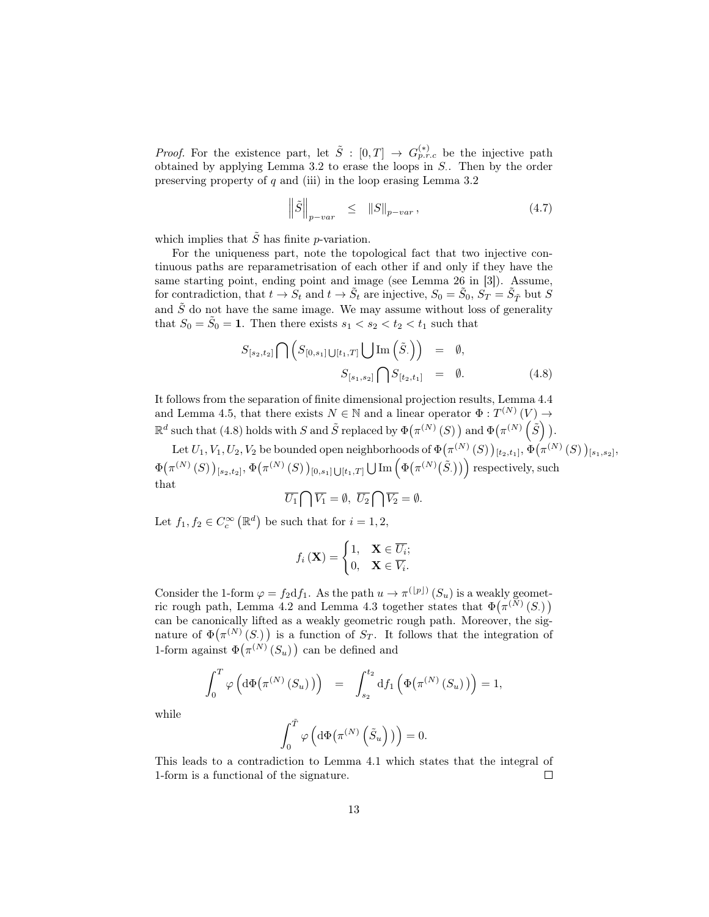*Proof.* For the existence part, let  $\tilde{S}$  :  $[0,T] \rightarrow G_{p.r.c}^{(*)}$  be the injective path obtained by applying Lemma 3.2 to erase the loops in  $S$ . Then by the order preserving property of  $q$  and (iii) in the loop erasing Lemma 3.2

$$
\left\|\tilde{S}\right\|_{p-var} \leq \|S\|_{p-var},\tag{4.7}
$$

which implies that  $\tilde{S}$  has finite p-variation.

For the uniqueness part, note the topological fact that two injective continuous paths are reparametrisation of each other if and only if they have the same starting point, ending point and image (see Lemma 26 in [3]). Assume, for contradiction, that  $t \to S_t$  and  $t \to \tilde{S}_t$  are injective,  $S_0 = \tilde{S}_0$ ,  $S_T = \tilde{S}_{\tilde{T}}$  but S and  $\tilde{S}$  do not have the same image. We may assume without loss of generality that  $S_0 = \tilde{S}_0 = 1$ . Then there exists  $s_1 < s_2 < t_2 < t_1$  such that

$$
S_{[s_2,t_2]} \bigcap \left( S_{[0,s_1] \cup [t_1,T]} \bigcup \text{Im} \left( \tilde{S} . \right) \right) = \emptyset,
$$
  

$$
S_{[s_1,s_2]} \bigcap S_{[t_2,t_1]} = \emptyset.
$$
 (4.8)

It follows from the separation of finite dimensional projection results, Lemma 4.4 and Lemma 4.5, that there exists  $N \in \mathbb{N}$  and a linear operator  $\Phi : T^{(N)}(V) \to$  $\mathbb{R}^d$  such that (4.8) holds with S and  $\tilde{S}$  replaced by  $\Phi(\pi^{(N)}(S))$  and  $\Phi(\pi^{(N)}(\tilde{S}))$ .

Let  $U_1,V_1,U_2,V_2$  be bounded open neighborhoods of  $\Phi\big(\pi^{(N)}\left(S\right)\big)_{[t_2,t_1]},\Phi\big(\pi^{(N)}\left(S\right)\big)_{[s_1,s_2]},$  $\Phi(\pi^{(N)}(S))_{[s_2,t_2]}, \Phi(\pi^{(N)}(S))_{[0,s_1]\bigcup [t_1,T]} \bigcup \text{Im}\left(\Phi(\pi^{(N)}(\tilde{S}))\right)$  respectively, such that

$$
\overline{U_1} \bigcap \overline{V_1} = \emptyset, \ \overline{U_2} \bigcap \overline{V_2} = \emptyset.
$$

Let  $f_1, f_2 \in C_c^{\infty}(\mathbb{R}^d)$  be such that for  $i = 1, 2$ ,

$$
f_i\left(\mathbf{X}\right) = \begin{cases} 1, & \mathbf{X} \in \overline{U_i}; \\ 0, & \mathbf{X} \in \overline{V_i}. \end{cases}
$$

Consider the 1-form  $\varphi = f_2 \mathrm{d} f_1$ . As the path  $u \to \pi^{(\lfloor p \rfloor)}(S_u)$  is a weakly geometric rough path, Lemma 4.2 and Lemma 4.3 together states that  $\Phi(\pi^{(N)}(S))$ can be canonically lifted as a weakly geometric rough path. Moreover, the signature of  $\Phi(\pi^{(N)}(S))$  is a function of  $S_T$ . It follows that the integration of 1-form against  $\Phi(\pi^{(N)}(S_u))$  can be defined and

$$
\int_0^T \varphi\left(\mathrm{d}\Phi\big(\pi^{(N)}\left(S_u\right)\big)\right) = \int_{s_2}^{t_2} \mathrm{d}f_1\left(\Phi\big(\pi^{(N)}\left(S_u\right)\big)\right) = 1,
$$

while

$$
\int_0^{\tilde{T}} \varphi\left(\mathrm{d}\Phi\big(\pi^{(N)}\left(\tilde{S}_u\right)\big)\right) = 0.
$$

This leads to a contradiction to Lemma 4.1 which states that the integral of 1-form is a functional of the signature.  $\Box$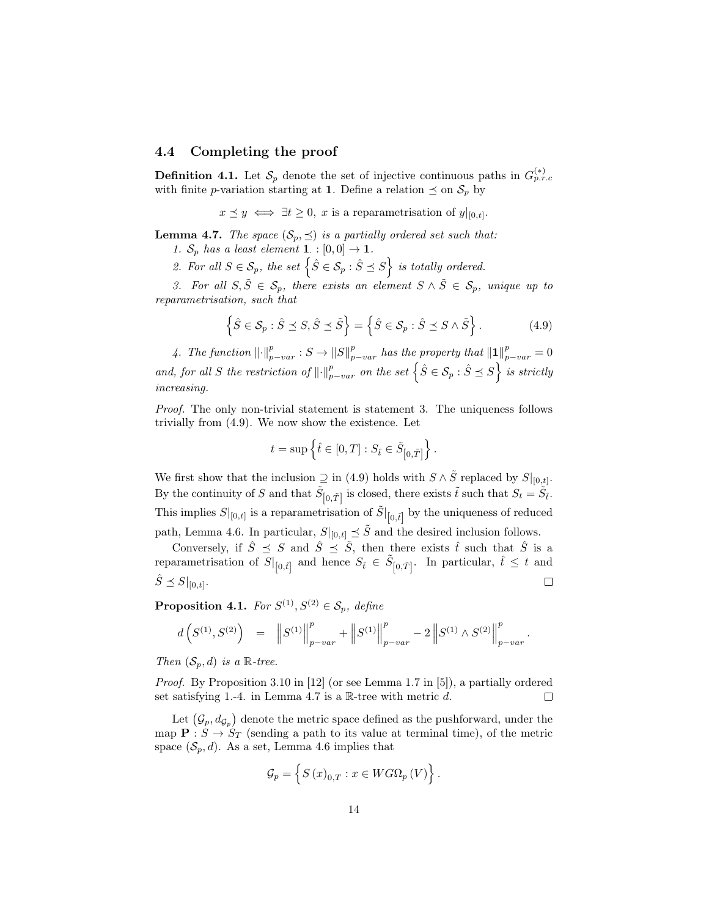### 4.4 Completing the proof

**Definition 4.1.** Let  $\mathcal{S}_p$  denote the set of injective continuous paths in  $G_{p,r,c}^{(*)}$ with finite *p*-variation starting at 1. Define a relation  $\leq$  on  $S_p$  by

 $x \preceq y \iff \exists t \geq 0, \ x \text{ is a reparametrisation of } y|_{[0,t]}.$ 

**Lemma 4.7.** The space  $(S_p, \preceq)$  is a partially ordered set such that:

1.  $S_p$  has a least element **1**. :  $[0,0] \rightarrow 1$ .

2. For all  $S \in \mathcal{S}_p$ , the set  $\left\{ \hat{S} \in \mathcal{S}_p : \hat{S} \preceq S \right\}$  is totally ordered.

3. For all  $S, \tilde{S} \in \mathcal{S}_p$ , there exists an element  $S \wedge \tilde{S} \in \mathcal{S}_p$ , unique up to reparametrisation, such that

$$
\left\{\hat{S} \in \mathcal{S}_p : \hat{S} \preceq S, \hat{S} \preceq \tilde{S}\right\} = \left\{\hat{S} \in \mathcal{S}_p : \hat{S} \preceq S \wedge \tilde{S}\right\}.
$$
\n(4.9)

4. The function  $\lVert \cdot \rVert_{p-var}^p : S \to \lVert S \rVert_{p-var}^p$  has the property that  $\lVert \mathbf{1} \rVert_{p-var}^p = 0$ and, for all S the restriction of  $\lVert \cdot \rVert_{p-var}^p$  on the set  $\left\{ \hat{S} \in \mathcal{S}_p : \hat{S} \preceq S \right\}$  is strictly increasing.

Proof. The only non-trivial statement is statement 3. The uniqueness follows trivially from (4.9). We now show the existence. Let

$$
t = \sup \left\{ \hat{t} \in [0, T] : S_{\hat{t}} \in \tilde{S}_{\left[0, \tilde{T}\right]} \right\}.
$$

We first show that the inclusion  $\supseteq$  in (4.9) holds with  $S \wedge \tilde{S}$  replaced by  $S|_{[0,t]}$ . By the continuity of S and that  $\tilde{S}_{[0,\tilde{T}]}$  is closed, there exists  $\tilde{t}$  such that  $S_t = \tilde{S}_{\tilde{t}}$ . This implies  $S|_{[0,t]}$  is a reparametrisation of  $\tilde{S}|_{[0,\tilde{t}]}$  by the uniqueness of reduced path, Lemma 4.6. In particular,  $S|_{[0,t]} \preceq \tilde{S}$  and the desired inclusion follows.

Conversely, if  $\hat{S} \preceq S$  and  $\hat{S} \preceq \tilde{S}$ , then there exists  $\hat{t}$  such that  $\hat{S}$  is a reparametrisation of  $S|_{[0,\hat{t}]}$  and hence  $S_{\hat{t}} \in \tilde{S}_{[0,\tilde{T}]}$ . In particular,  $\hat{t} \leq t$  and  $\hat{S} \preceq S|_{[0,t]}.$  $\Box$ 

**Proposition 4.1.** For  $S^{(1)}, S^{(2)} \in \mathcal{S}_p$ , define

$$
d\left(S^{(1)},S^{(2)}\right) \;\; = \;\; \left\|S^{(1)}\right\|_{p-var}^p + \left\|S^{(1)}\right\|_{p-var}^p - 2\left\|S^{(1)} \wedge S^{(2)}\right\|_{p-var}^p.
$$

Then  $(\mathcal{S}_n, d)$  is a R-tree.

Proof. By Proposition 3.10 in [12] (or see Lemma 1.7 in [5]), a partially ordered set satisfying 1.-4. in Lemma 4.7 is a  $\mathbb{R}$ -tree with metric d.  $\Box$ 

Let  $(\mathcal{G}_p, d_{\mathcal{G}_p})$  denote the metric space defined as the pushforward, under the map  $\mathbf{P}: S \to S_T$  (sending a path to its value at terminal time), of the metric space  $(\mathcal{S}_p, d)$ . As a set, Lemma 4.6 implies that

$$
\mathcal{G}_{p}=\left\{ S\left(x\right)_{0,T}:x\in WG\Omega_{p}\left(V\right)\right\} .
$$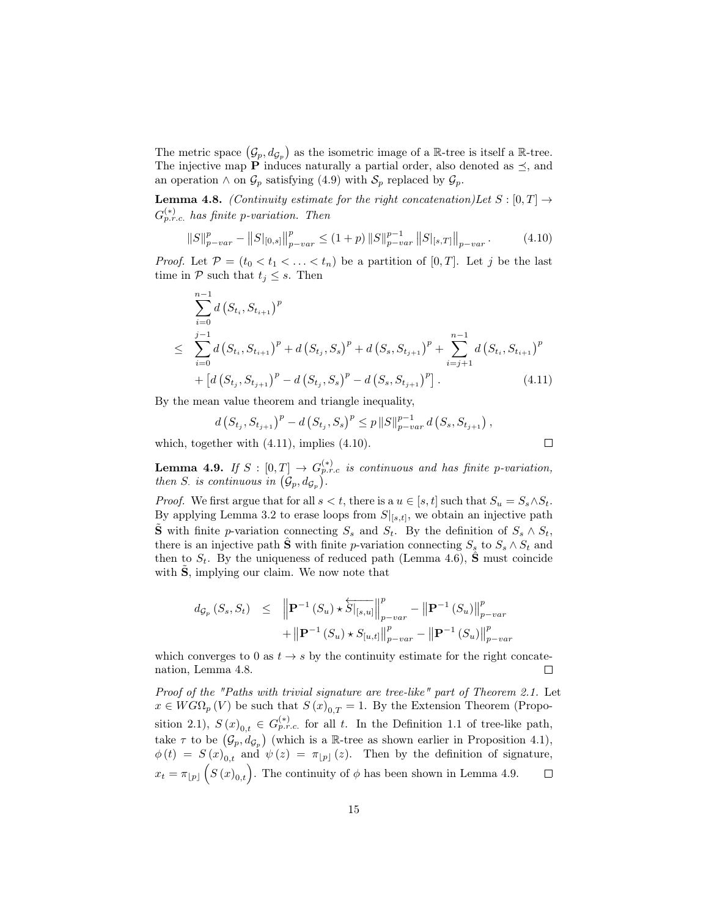The metric space  $(\mathcal{G}_p, d_{\mathcal{G}_p})$  as the isometric image of a R-tree is itself a R-tree. The injective map **P** induces naturally a partial order, also denoted as  $\preceq$ , and an operation  $\wedge$  on  $\mathcal{G}_p$  satisfying (4.9) with  $\mathcal{S}_p$  replaced by  $\mathcal{G}_p$ .

**Lemma 4.8.** (Continuity estimate for the right concatenation)Let  $S : [0, T] \rightarrow$  $G_{p.r.c.}^{(*)}$  has finite p-variation. Then

$$
||S||_{p-var}^p - ||S||_{[0,s]}||_{p-var}^p \le (1+p) ||S||_{p-var}^{p-1} ||S||_{s,T} ||_{p-var}.
$$
 (4.10)

*Proof.* Let  $\mathcal{P} = (t_0 < t_1 < \ldots < t_n)$  be a partition of  $[0, T]$ . Let j be the last time in  $P$  such that  $t_j \leq s$ . Then

$$
\sum_{i=0}^{n-1} d(S_{t_i}, S_{t_{i+1}})^p
$$
\n
$$
\leq \sum_{i=0}^{j-1} d(S_{t_i}, S_{t_{i+1}})^p + d(S_{t_j}, S_s)^p + d(S_s, S_{t_{j+1}})^p + \sum_{i=j+1}^{n-1} d(S_{t_i}, S_{t_{i+1}})^p
$$
\n
$$
+ [d(S_{t_j}, S_{t_{j+1}})^p - d(S_{t_j}, S_s)^p - d(S_s, S_{t_{j+1}})^p]. \tag{4.11}
$$

By the mean value theorem and triangle inequality,

$$
d\left(S_{t_j}, S_{t_{j+1}}\right)^p - d\left(S_{t_j}, S_s\right)^p \le p \left\|S\right\|_{p-var}^{p-1} d\left(S_s, S_{t_{j+1}}\right),
$$

 $\Box$ 

which, together with (4.11), implies (4.10).

**Lemma 4.9.** If  $S : [0,T] \to G_{p.r.c}^{(*)}$  is continuous and has finite p-variation, then S. is continuous in  $(\mathcal{G}_p, d_{\mathcal{G}_p})$ .

*Proof.* We first argue that for all  $s < t$ , there is a  $u \in [s, t]$  such that  $S_u = S_s \wedge S_t$ . By applying Lemma 3.2 to erase loops from  $S|_{[s,t]}$ , we obtain an injective path  $\tilde{\mathbf{S}}$  with finite p-variation connecting  $S_s$  and  $S_t$ . By the definition of  $S_s \wedge S_t$ , there is an injective path  $\hat{\mathbf{S}}$  with finite p-variation connecting  $S_s$  to  $S_s \wedge S_t$  and then to  $S_t$ . By the uniqueness of reduced path (Lemma 4.6), **S** must coincide with  $S$ , implying our claim. We now note that

$$
d_{\mathcal{G}_p} (S_s, S_t) \leq \| \mathbf{P}^{-1} (S_u) \star \overleftarrow{S} |_{[s,u]} \|_{p-var}^p - \| \mathbf{P}^{-1} (S_u) \|_{p-var}^p
$$
  
+ 
$$
+ \| \mathbf{P}^{-1} (S_u) \star S_{[u,t]} \|_{p-var}^p - \| \mathbf{P}^{-1} (S_u) \|_{p-var}^p
$$

which converges to 0 as  $t \to s$  by the continuity estimate for the right concatenation, Lemma 4.8.  $\Box$ 

Proof of the "Paths with trivial signature are tree-like" part of Theorem 2.1. Let  $x \in WG\Omega_p(V)$  be such that  $S(x)_{0,T} = 1$ . By the Extension Theorem (Proposition 2.1),  $S(x)_{0,t} \in G^{(*)}_{p.r.c.}$  for all t. In the Definition 1.1 of tree-like path, take  $\tau$  to be  $(\mathcal{G}_p, d_{\mathcal{G}_p})$  (which is a R-tree as shown earlier in Proposition 4.1),  $\phi(t) = S(x)_{0,t}$  and  $\psi(z) = \pi_{p}(z)$ . Then by the definition of signature,  $x_t = \pi_{\lfloor p \rfloor} \left( S(x)_{0,t} \right)$ . The continuity of  $\phi$  has been shown in Lemma 4.9.  $\Box$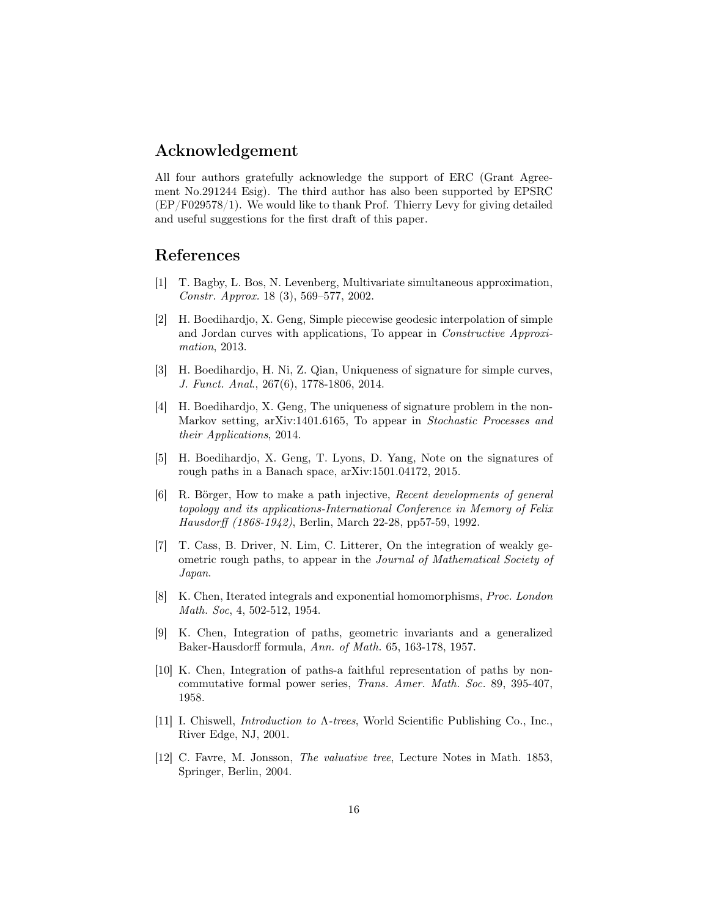### Acknowledgement

All four authors gratefully acknowledge the support of ERC (Grant Agreement No.291244 Esig). The third author has also been supported by EPSRC (EP/F029578/1). We would like to thank Prof. Thierry Levy for giving detailed and useful suggestions for the first draft of this paper.

## References

- [1] T. Bagby, L. Bos, N. Levenberg, Multivariate simultaneous approximation, Constr. Approx. 18 (3), 569–577, 2002.
- [2] H. Boedihardjo, X. Geng, Simple piecewise geodesic interpolation of simple and Jordan curves with applications, To appear in Constructive Approximation, 2013.
- [3] H. Boedihardjo, H. Ni, Z. Qian, Uniqueness of signature for simple curves, J. Funct. Anal., 267(6), 1778-1806, 2014.
- [4] H. Boedihardjo, X. Geng, The uniqueness of signature problem in the non-Markov setting, arXiv:1401.6165, To appear in Stochastic Processes and their Applications, 2014.
- [5] H. Boedihardjo, X. Geng, T. Lyons, D. Yang, Note on the signatures of rough paths in a Banach space, arXiv:1501.04172, 2015.
- [6] R. Börger, How to make a path injective, Recent developments of general topology and its applications-International Conference in Memory of Felix Hausdorff (1868-1942), Berlin, March 22-28, pp57-59, 1992.
- [7] T. Cass, B. Driver, N. Lim, C. Litterer, On the integration of weakly geometric rough paths, to appear in the Journal of Mathematical Society of Japan.
- [8] K. Chen, Iterated integrals and exponential homomorphisms, Proc. London Math. Soc, 4, 502-512, 1954.
- [9] K. Chen, Integration of paths, geometric invariants and a generalized Baker-Hausdorff formula, Ann. of Math. 65, 163-178, 1957.
- [10] K. Chen, Integration of paths-a faithful representation of paths by noncommutative formal power series, Trans. Amer. Math. Soc. 89, 395-407, 1958.
- [11] I. Chiswell, Introduction to Λ-trees, World Scientific Publishing Co., Inc., River Edge, NJ, 2001.
- [12] C. Favre, M. Jonsson, The valuative tree, Lecture Notes in Math. 1853, Springer, Berlin, 2004.